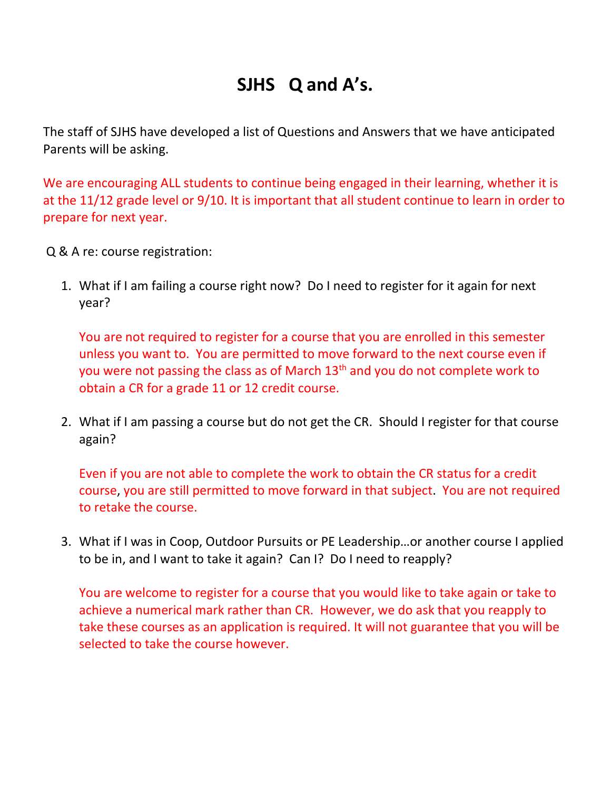## **SJHS Q and A's.**

The staff of SJHS have developed a list of Questions and Answers that we have anticipated Parents will be asking.

We are encouraging ALL students to continue being engaged in their learning, whether it is at the 11/12 grade level or 9/10. It is important that all student continue to learn in order to prepare for next year.

Q & A re: course registration:

1. What if I am failing a course right now? Do I need to register for it again for next year?

You are not required to register for a course that you are enrolled in this semester unless you want to. You are permitted to move forward to the next course even if you were not passing the class as of March 13<sup>th</sup> and you do not complete work to obtain a CR for a grade 11 or 12 credit course.

2. What if I am passing a course but do not get the CR. Should I register for that course again?

Even if you are not able to complete the work to obtain the CR status for a credit course, you are still permitted to move forward in that subject. You are not required to retake the course.

3. What if I was in Coop, Outdoor Pursuits or PE Leadership…or another course I applied to be in, and I want to take it again? Can I? Do I need to reapply?

You are welcome to register for a course that you would like to take again or take to achieve a numerical mark rather than CR. However, we do ask that you reapply to take these courses as an application is required. It will not guarantee that you will be selected to take the course however.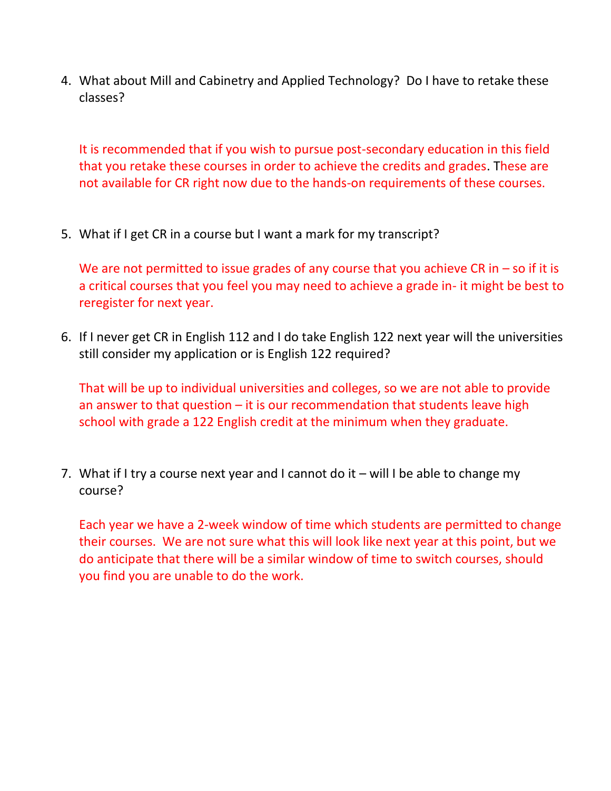4. What about Mill and Cabinetry and Applied Technology? Do I have to retake these classes?

It is recommended that if you wish to pursue post-secondary education in this field that you retake these courses in order to achieve the credits and grades. These are not available for CR right now due to the hands-on requirements of these courses.

5. What if I get CR in a course but I want a mark for my transcript?

We are not permitted to issue grades of any course that you achieve CR in  $-$  so if it is a critical courses that you feel you may need to achieve a grade in- it might be best to reregister for next year.

6. If I never get CR in English 112 and I do take English 122 next year will the universities still consider my application or is English 122 required?

That will be up to individual universities and colleges, so we are not able to provide an answer to that question  $-$  it is our recommendation that students leave high school with grade a 122 English credit at the minimum when they graduate.

7. What if I try a course next year and I cannot do it – will I be able to change my course?

Each year we have a 2-week window of time which students are permitted to change their courses. We are not sure what this will look like next year at this point, but we do anticipate that there will be a similar window of time to switch courses, should you find you are unable to do the work.